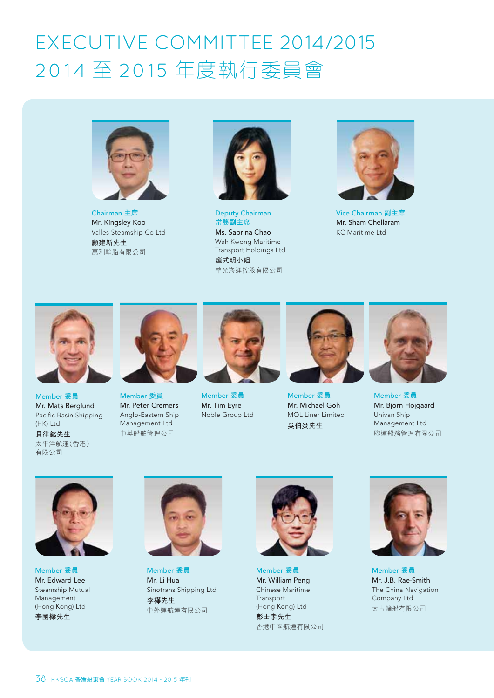## EXECUTIVE COMMITTEE 2014/2015 2014 至 2015 年度執行委員會



**Chairman 主席** Mr. Kingsley Koo Valles Steamship Co Ltd 顧建新先生 萬利輪船有限公司



Deputy Chairman **常務副主席** Ms. Sabrina Chao Wah Kwong Maritime Transport Holdings Ltd **趟式明小姐** 華光海運控股有限公司



**Vice Chairman 副主席** Mr. Sham Chellaram KC Maritime Ltd



**Member 委員** Mr. Mats Berglund Pacific Basin Shipping (HK) Ltd

**貝律銘先生** 太平洋航運(香港) 有限公司



Member 委員 Mr. Peter Cremers Anglo-Eastern Ship Management Ltd 中英船舶管理公司



**Member 委員** Mr. Tim Eyre Noble Group Ltd



Member 委員 Mr. Michael Goh MOL Liner Limited 吳伯炎先生



**Member 委員** Mr. Bjorn Hojgaard Univan Ship Management Ltd 聯運船務管理有限公司



Member 委員 Mr. Edward Lee Steamship Mutual Management (Hong Kong) Ltd 李國樑先生



Member 委員 Mr. Li Hua Sinotrans Shipping Ltd 李樺先生 中外運航運有限公司



Member 委員 Mr. William Peng Chinese Maritime Transport (Hong Kong) Ltd

彭士孝先生 香港中國航運有限公司



Member 委員 Mr. J.B. Rae-Smith The China Navigation Company Ltd 太古輪船有限公司